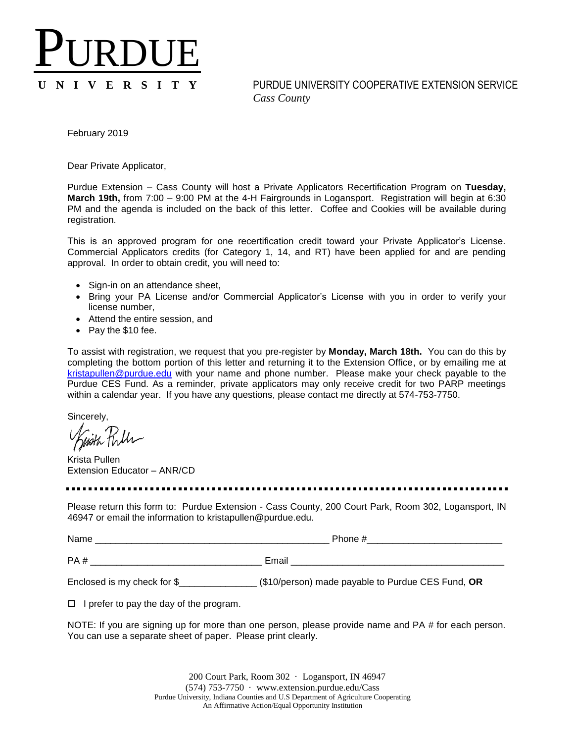## PURDUE

**U N I V E R S I T Y** PURDUE UNIVERSITY COOPERATIVE EXTENSION SERVICE *Cass County*

February 2019

Dear Private Applicator,

Purdue Extension – Cass County will host a Private Applicators Recertification Program on **Tuesday, March 19th,** from 7:00 – 9:00 PM at the 4-H Fairgrounds in Logansport. Registration will begin at 6:30 PM and the agenda is included on the back of this letter. Coffee and Cookies will be available during registration.

This is an approved program for one recertification credit toward your Private Applicator's License. Commercial Applicators credits (for Category 1, 14, and RT) have been applied for and are pending approval. In order to obtain credit, you will need to:

- Sign-in on an attendance sheet,
- Bring your PA License and/or Commercial Applicator's License with you in order to verify your license number,
- Attend the entire session, and
- Pay the \$10 fee.

To assist with registration, we request that you pre-register by **Monday, March 18th.** You can do this by completing the bottom portion of this letter and returning it to the Extension Office, or by emailing me at [kristapullen@purdue.edu](mailto:kristapullen@purdue.edu) with your name and phone number. Please make your check payable to the Purdue CES Fund. As a reminder, private applicators may only receive credit for two PARP meetings within a calendar year. If you have any questions, please contact me directly at 574-753-7750.

Sincerely,

Krista Pullen Extension Educator – ANR/CD

Please return this form to: Purdue Extension - Cass County, 200 Court Park, Room 302, Logansport, IN 46947 or email the information to kristapullen@purdue.edu.

Name  $\Box$ PA #  $\qquad \qquad$  Email  $\qquad \qquad$ 

Enclosed is my check for \$\_\_\_\_\_\_\_\_\_\_\_\_\_\_\_ (\$10/person) made payable to Purdue CES Fund, **OR**

 $\Box$  I prefer to pay the day of the program.

NOTE: If you are signing up for more than one person, please provide name and PA # for each person. You can use a separate sheet of paper. Please print clearly.